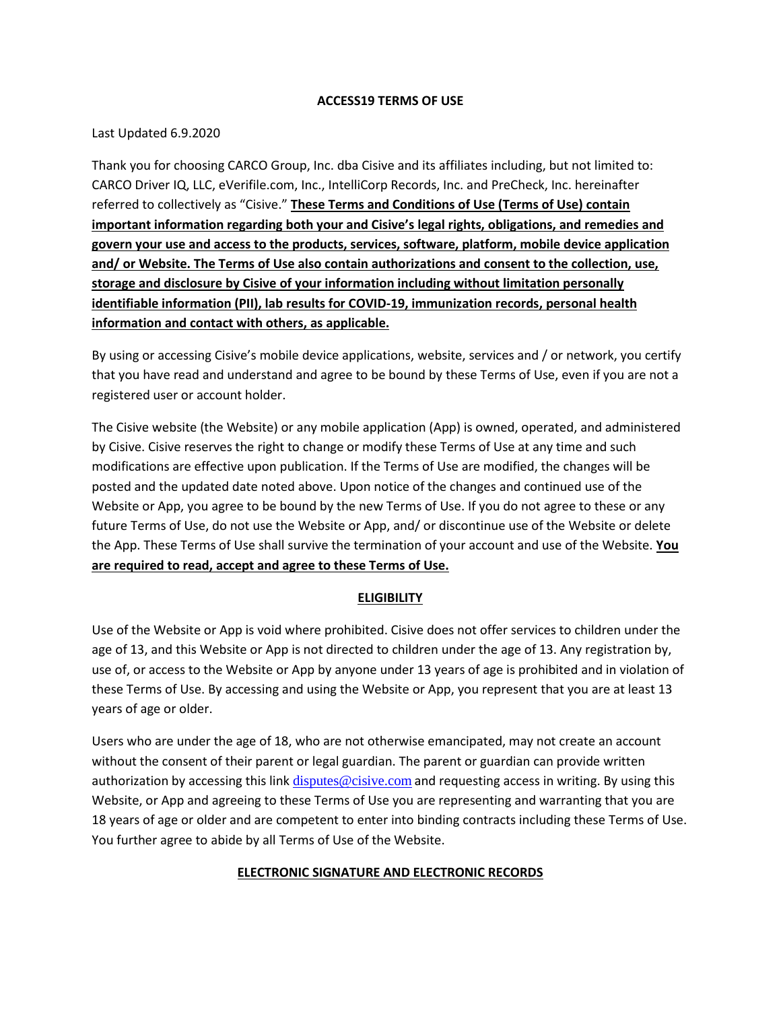#### **ACCESS19 TERMS OF USE**

### Last Updated 6.9.2020

Thank you for choosing CARCO Group, Inc. dba Cisive and its affiliates including, but not limited to: CARCO Driver IQ, LLC, eVerifile.com, Inc., IntelliCorp Records, Inc. and PreCheck, Inc. hereinafter referred to collectively as "Cisive." **These Terms and Conditions of Use (Terms of Use) contain important information regarding both your and Cisive's legal rights, obligations, and remedies and govern your use and access to the products, services, software, platform, mobile device application and/ or Website. The Terms of Use also contain authorizations and consent to the collection, use, storage and disclosure by Cisive of your information including without limitation personally identifiable information (PII), lab results for COVID-19, immunization records, personal health information and contact with others, as applicable.** 

By using or accessing Cisive's mobile device applications, website, services and / or network, you certify that you have read and understand and agree to be bound by these Terms of Use, even if you are not a registered user or account holder.

The Cisive website (the Website) or any mobile application (App) is owned, operated, and administered by Cisive. Cisive reserves the right to change or modify these Terms of Use at any time and such modifications are effective upon publication. If the Terms of Use are modified, the changes will be posted and the updated date noted above. Upon notice of the changes and continued use of the Website or App, you agree to be bound by the new Terms of Use. If you do not agree to these or any future Terms of Use, do not use the Website or App, and/ or discontinue use of the Website or delete the App. These Terms of Use shall survive the termination of your account and use of the Website. **You are required to read, accept and agree to these Terms of Use.** 

### **ELIGIBILITY**

Use of the Website or App is void where prohibited. Cisive does not offer services to children under the age of 13, and this Website or App is not directed to children under the age of 13. Any registration by, use of, or access to the Website or App by anyone under 13 years of age is prohibited and in violation of these Terms of Use. By accessing and using the Website or App, you represent that you are at least 13 years of age or older.

Users who are under the age of 18, who are not otherwise emancipated, may not create an account without the consent of their parent or legal guardian. The parent or guardian can provide written authorization by accessing this link [disputes@cisive.com](mailto:disputes@cisive.com) and requesting access in writing. By using this Website, or App and agreeing to these Terms of Use you are representing and warranting that you are 18 years of age or older and are competent to enter into binding contracts including these Terms of Use. You further agree to abide by all Terms of Use of the Website.

### **ELECTRONIC SIGNATURE AND ELECTRONIC RECORDS**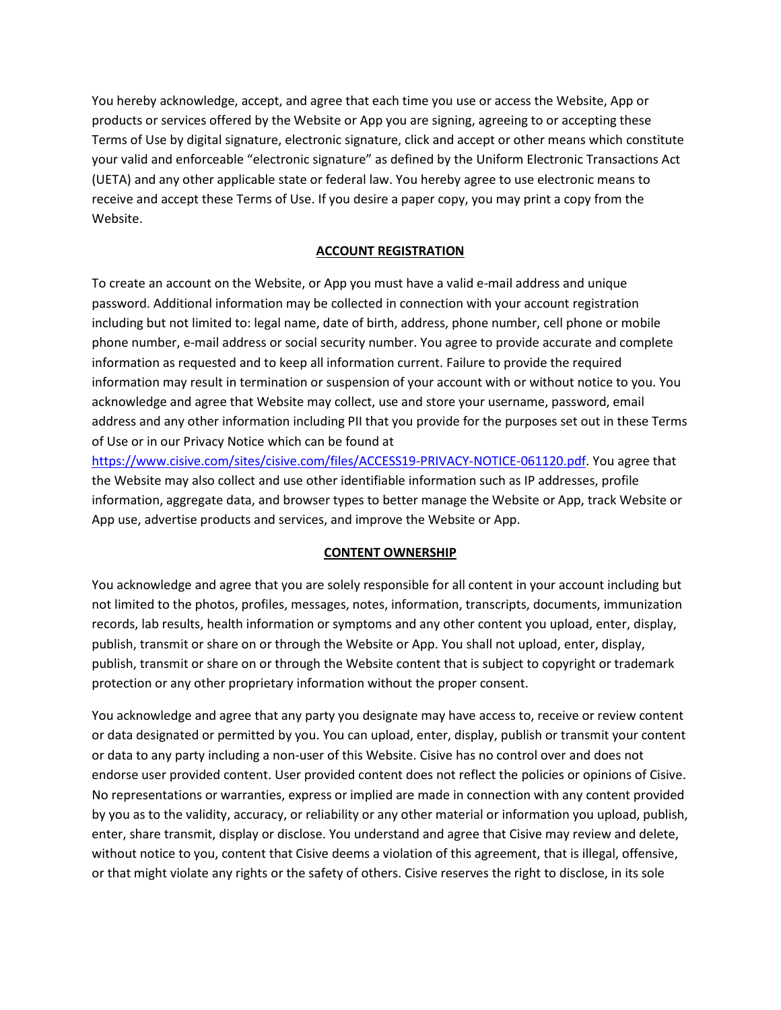You hereby acknowledge, accept, and agree that each time you use or access the Website, App or products or services offered by the Website or App you are signing, agreeing to or accepting these Terms of Use by digital signature, electronic signature, click and accept or other means which constitute your valid and enforceable "electronic signature" as defined by the Uniform Electronic Transactions Act (UETA) and any other applicable state or federal law. You hereby agree to use electronic means to receive and accept these Terms of Use. If you desire a paper copy, you may print a copy from the Website.

### **ACCOUNT REGISTRATION**

To create an account on the Website, or App you must have a valid e-mail address and unique password. Additional information may be collected in connection with your account registration including but not limited to: legal name, date of birth, address, phone number, cell phone or mobile phone number, e-mail address or social security number. You agree to provide accurate and complete information as requested and to keep all information current. Failure to provide the required information may result in termination or suspension of your account with or without notice to you. You acknowledge and agree that Website may collect, use and store your username, password, email address and any other information including PII that you provide for the purposes set out in these Terms of Use or in our Privacy Notice which can be found at

[https://www.cisive.com/sites/cisive.com/files/ACCESS19-PRIVACY-NOTICE-061120.pdf.](https://www.cisive.com/sites/cisive.com/files/ACCESS19-PRIVACY-NOTICE-061120.pdf) You agree that the Website may also collect and use other identifiable information such as IP addresses, profile information, aggregate data, and browser types to better manage the Website or App, track Website or App use, advertise products and services, and improve the Website or App.

### **CONTENT OWNERSHIP**

You acknowledge and agree that you are solely responsible for all content in your account including but not limited to the photos, profiles, messages, notes, information, transcripts, documents, immunization records, lab results, health information or symptoms and any other content you upload, enter, display, publish, transmit or share on or through the Website or App. You shall not upload, enter, display, publish, transmit or share on or through the Website content that is subject to copyright or trademark protection or any other proprietary information without the proper consent.

You acknowledge and agree that any party you designate may have access to, receive or review content or data designated or permitted by you. You can upload, enter, display, publish or transmit your content or data to any party including a non-user of this Website. Cisive has no control over and does not endorse user provided content. User provided content does not reflect the policies or opinions of Cisive. No representations or warranties, express or implied are made in connection with any content provided by you as to the validity, accuracy, or reliability or any other material or information you upload, publish, enter, share transmit, display or disclose. You understand and agree that Cisive may review and delete, without notice to you, content that Cisive deems a violation of this agreement, that is illegal, offensive, or that might violate any rights or the safety of others. Cisive reserves the right to disclose, in its sole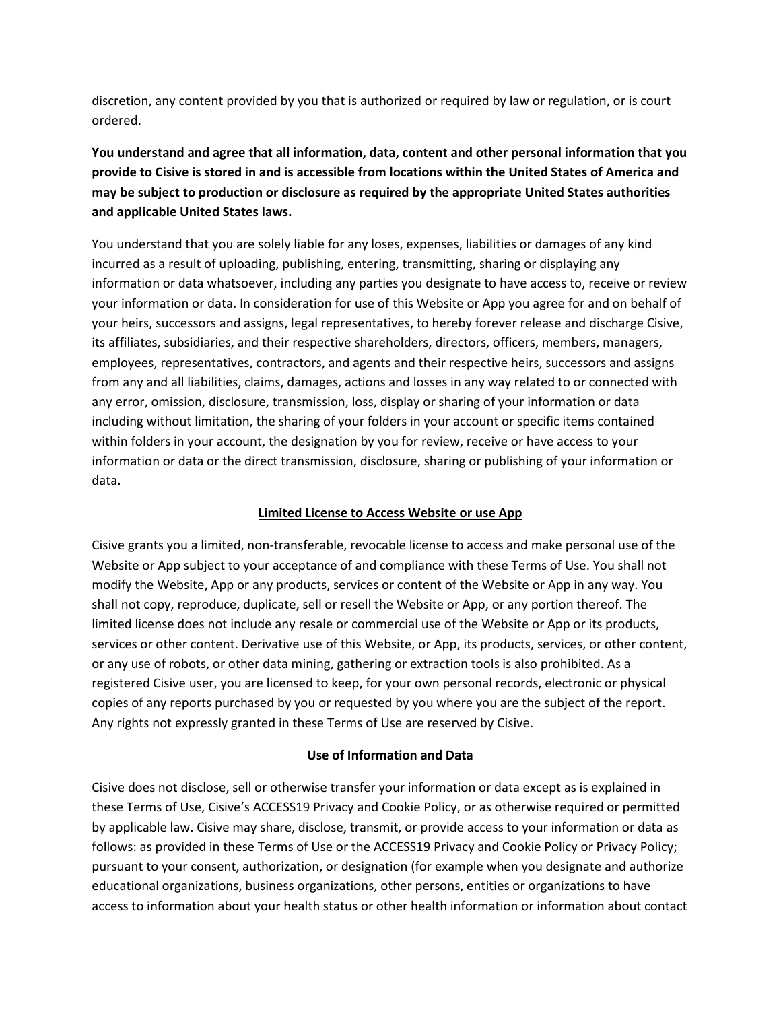discretion, any content provided by you that is authorized or required by law or regulation, or is court ordered.

**You understand and agree that all information, data, content and other personal information that you provide to Cisive is stored in and is accessible from locations within the United States of America and may be subject to production or disclosure as required by the appropriate United States authorities and applicable United States laws.** 

You understand that you are solely liable for any loses, expenses, liabilities or damages of any kind incurred as a result of uploading, publishing, entering, transmitting, sharing or displaying any information or data whatsoever, including any parties you designate to have access to, receive or review your information or data. In consideration for use of this Website or App you agree for and on behalf of your heirs, successors and assigns, legal representatives, to hereby forever release and discharge Cisive, its affiliates, subsidiaries, and their respective shareholders, directors, officers, members, managers, employees, representatives, contractors, and agents and their respective heirs, successors and assigns from any and all liabilities, claims, damages, actions and losses in any way related to or connected with any error, omission, disclosure, transmission, loss, display or sharing of your information or data including without limitation, the sharing of your folders in your account or specific items contained within folders in your account, the designation by you for review, receive or have access to your information or data or the direct transmission, disclosure, sharing or publishing of your information or data.

## **Limited License to Access Website or use App**

Cisive grants you a limited, non-transferable, revocable license to access and make personal use of the Website or App subject to your acceptance of and compliance with these Terms of Use. You shall not modify the Website, App or any products, services or content of the Website or App in any way. You shall not copy, reproduce, duplicate, sell or resell the Website or App, or any portion thereof. The limited license does not include any resale or commercial use of the Website or App or its products, services or other content. Derivative use of this Website, or App, its products, services, or other content, or any use of robots, or other data mining, gathering or extraction tools is also prohibited. As a registered Cisive user, you are licensed to keep, for your own personal records, electronic or physical copies of any reports purchased by you or requested by you where you are the subject of the report. Any rights not expressly granted in these Terms of Use are reserved by Cisive.

# **Use of Information and Data**

Cisive does not disclose, sell or otherwise transfer your information or data except as is explained in these Terms of Use, Cisive's ACCESS19 Privacy and Cookie Policy, or as otherwise required or permitted by applicable law. Cisive may share, disclose, transmit, or provide access to your information or data as follows: as provided in these Terms of Use or the ACCESS19 Privacy and Cookie Policy or Privacy Policy; pursuant to your consent, authorization, or designation (for example when you designate and authorize educational organizations, business organizations, other persons, entities or organizations to have access to information about your health status or other health information or information about contact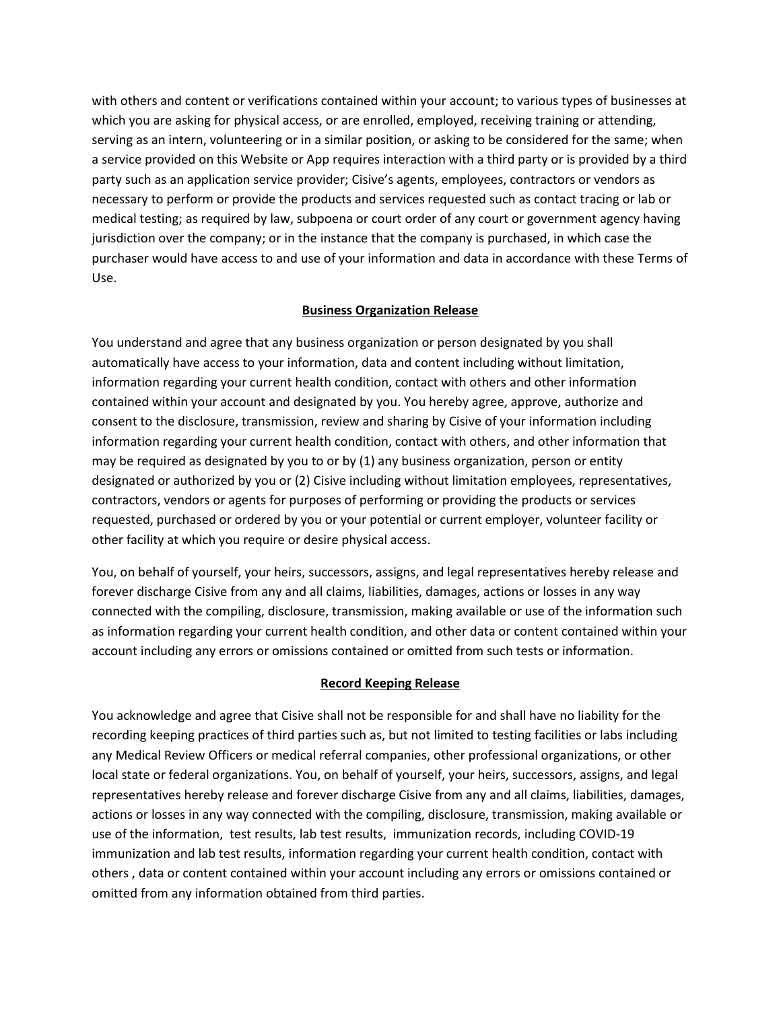with others and content or verifications contained within your account; to various types of businesses at which you are asking for physical access, or are enrolled, employed, receiving training or attending, serving as an intern, volunteering or in a similar position, or asking to be considered for the same; when a service provided on this Website or App requires interaction with a third party or is provided by a third party such as an application service provider; Cisive's agents, employees, contractors or vendors as necessary to perform or provide the products and services requested such as contact tracing or lab or medical testing; as required by law, subpoena or court order of any court or government agency having jurisdiction over the company; or in the instance that the company is purchased, in which case the purchaser would have access to and use of your information and data in accordance with these Terms of Use.

## **Business Organization Release**

You understand and agree that any business organization or person designated by you shall automatically have access to your information, data and content including without limitation, information regarding your current health condition, contact with others and other information contained within your account and designated by you. You hereby agree, approve, authorize and consent to the disclosure, transmission, review and sharing by Cisive of your information including information regarding your current health condition, contact with others, and other information that may be required as designated by you to or by (1) any business organization, person or entity designated or authorized by you or (2) Cisive including without limitation employees, representatives, contractors, vendors or agents for purposes of performing or providing the products or services requested, purchased or ordered by you or your potential or current employer, volunteer facility or other facility at which you require or desire physical access.

You, on behalf of yourself, your heirs, successors, assigns, and legal representatives hereby release and forever discharge Cisive from any and all claims, liabilities, damages, actions or losses in any way connected with the compiling, disclosure, transmission, making available or use of the information such as information regarding your current health condition, and other data or content contained within your account including any errors or omissions contained or omitted from such tests or information.

# **Record Keeping Release**

You acknowledge and agree that Cisive shall not be responsible for and shall have no liability for the recording keeping practices of third parties such as, but not limited to testing facilities or labs including any Medical Review Officers or medical referral companies, other professional organizations, or other local state or federal organizations. You, on behalf of yourself, your heirs, successors, assigns, and legal representatives hereby release and forever discharge Cisive from any and all claims, liabilities, damages, actions or losses in any way connected with the compiling, disclosure, transmission, making available or use of the information, test results, lab test results, immunization records, including COVID-19 immunization and lab test results, information regarding your current health condition, contact with others , data or content contained within your account including any errors or omissions contained or omitted from any information obtained from third parties.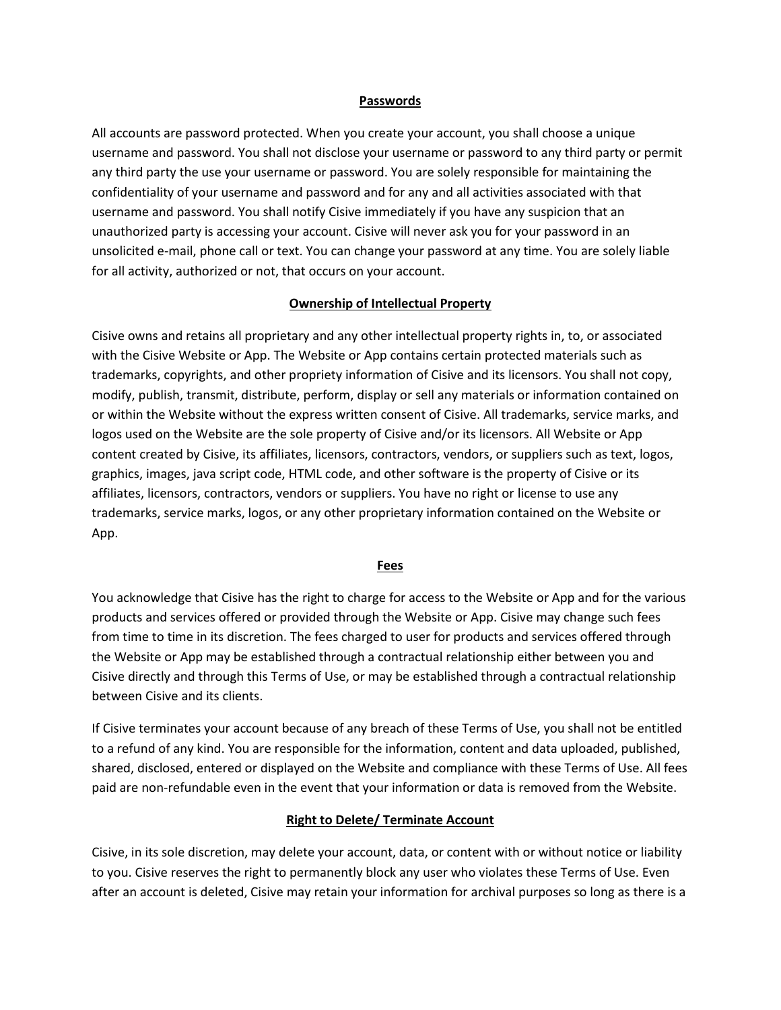#### **Passwords**

All accounts are password protected. When you create your account, you shall choose a unique username and password. You shall not disclose your username or password to any third party or permit any third party the use your username or password. You are solely responsible for maintaining the confidentiality of your username and password and for any and all activities associated with that username and password. You shall notify Cisive immediately if you have any suspicion that an unauthorized party is accessing your account. Cisive will never ask you for your password in an unsolicited e-mail, phone call or text. You can change your password at any time. You are solely liable for all activity, authorized or not, that occurs on your account.

### **Ownership of Intellectual Property**

Cisive owns and retains all proprietary and any other intellectual property rights in, to, or associated with the Cisive Website or App. The Website or App contains certain protected materials such as trademarks, copyrights, and other propriety information of Cisive and its licensors. You shall not copy, modify, publish, transmit, distribute, perform, display or sell any materials or information contained on or within the Website without the express written consent of Cisive. All trademarks, service marks, and logos used on the Website are the sole property of Cisive and/or its licensors. All Website or App content created by Cisive, its affiliates, licensors, contractors, vendors, or suppliers such as text, logos, graphics, images, java script code, HTML code, and other software is the property of Cisive or its affiliates, licensors, contractors, vendors or suppliers. You have no right or license to use any trademarks, service marks, logos, or any other proprietary information contained on the Website or App.

#### **Fees**

You acknowledge that Cisive has the right to charge for access to the Website or App and for the various products and services offered or provided through the Website or App. Cisive may change such fees from time to time in its discretion. The fees charged to user for products and services offered through the Website or App may be established through a contractual relationship either between you and Cisive directly and through this Terms of Use, or may be established through a contractual relationship between Cisive and its clients.

If Cisive terminates your account because of any breach of these Terms of Use, you shall not be entitled to a refund of any kind. You are responsible for the information, content and data uploaded, published, shared, disclosed, entered or displayed on the Website and compliance with these Terms of Use. All fees paid are non-refundable even in the event that your information or data is removed from the Website.

### **Right to Delete/ Terminate Account**

Cisive, in its sole discretion, may delete your account, data, or content with or without notice or liability to you. Cisive reserves the right to permanently block any user who violates these Terms of Use. Even after an account is deleted, Cisive may retain your information for archival purposes so long as there is a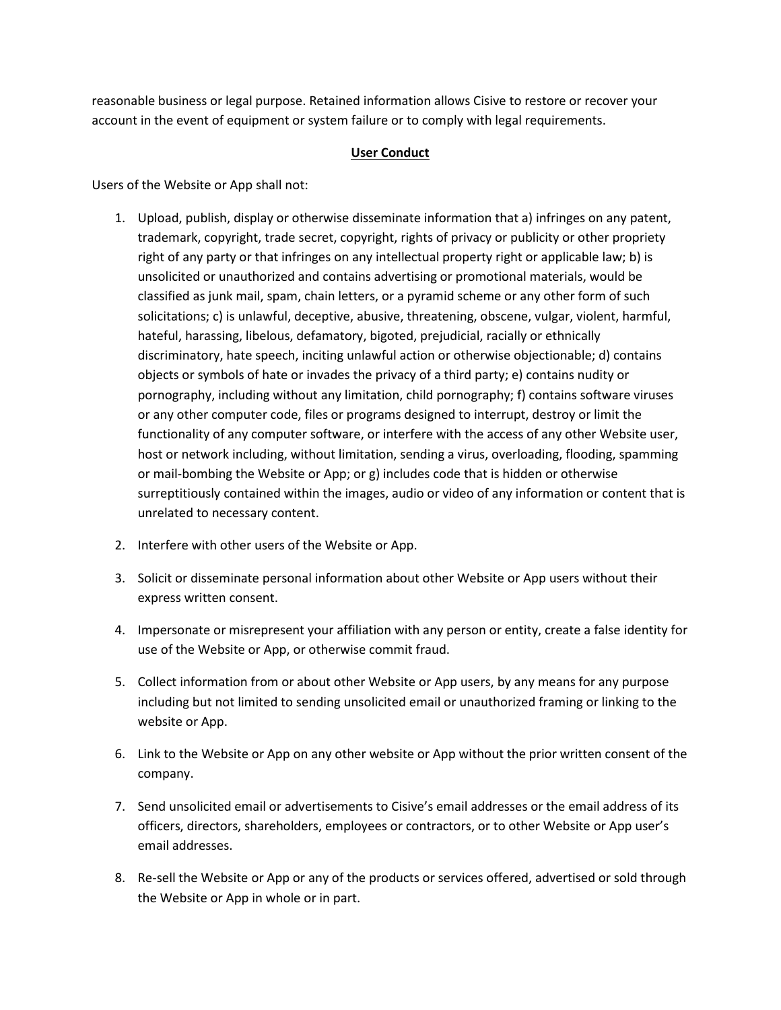reasonable business or legal purpose. Retained information allows Cisive to restore or recover your account in the event of equipment or system failure or to comply with legal requirements.

#### **User Conduct**

Users of the Website or App shall not:

- 1. Upload, publish, display or otherwise disseminate information that a) infringes on any patent, trademark, copyright, trade secret, copyright, rights of privacy or publicity or other propriety right of any party or that infringes on any intellectual property right or applicable law; b) is unsolicited or unauthorized and contains advertising or promotional materials, would be classified as junk mail, spam, chain letters, or a pyramid scheme or any other form of such solicitations; c) is unlawful, deceptive, abusive, threatening, obscene, vulgar, violent, harmful, hateful, harassing, libelous, defamatory, bigoted, prejudicial, racially or ethnically discriminatory, hate speech, inciting unlawful action or otherwise objectionable; d) contains objects or symbols of hate or invades the privacy of a third party; e) contains nudity or pornography, including without any limitation, child pornography; f) contains software viruses or any other computer code, files or programs designed to interrupt, destroy or limit the functionality of any computer software, or interfere with the access of any other Website user, host or network including, without limitation, sending a virus, overloading, flooding, spamming or mail-bombing the Website or App; or g) includes code that is hidden or otherwise surreptitiously contained within the images, audio or video of any information or content that is unrelated to necessary content.
- 2. Interfere with other users of the Website or App.
- 3. Solicit or disseminate personal information about other Website or App users without their express written consent.
- 4. Impersonate or misrepresent your affiliation with any person or entity, create a false identity for use of the Website or App, or otherwise commit fraud.
- 5. Collect information from or about other Website or App users, by any means for any purpose including but not limited to sending unsolicited email or unauthorized framing or linking to the website or App.
- 6. Link to the Website or App on any other website or App without the prior written consent of the company.
- 7. Send unsolicited email or advertisements to Cisive's email addresses or the email address of its officers, directors, shareholders, employees or contractors, or to other Website or App user's email addresses.
- 8. Re-sell the Website or App or any of the products or services offered, advertised or sold through the Website or App in whole or in part.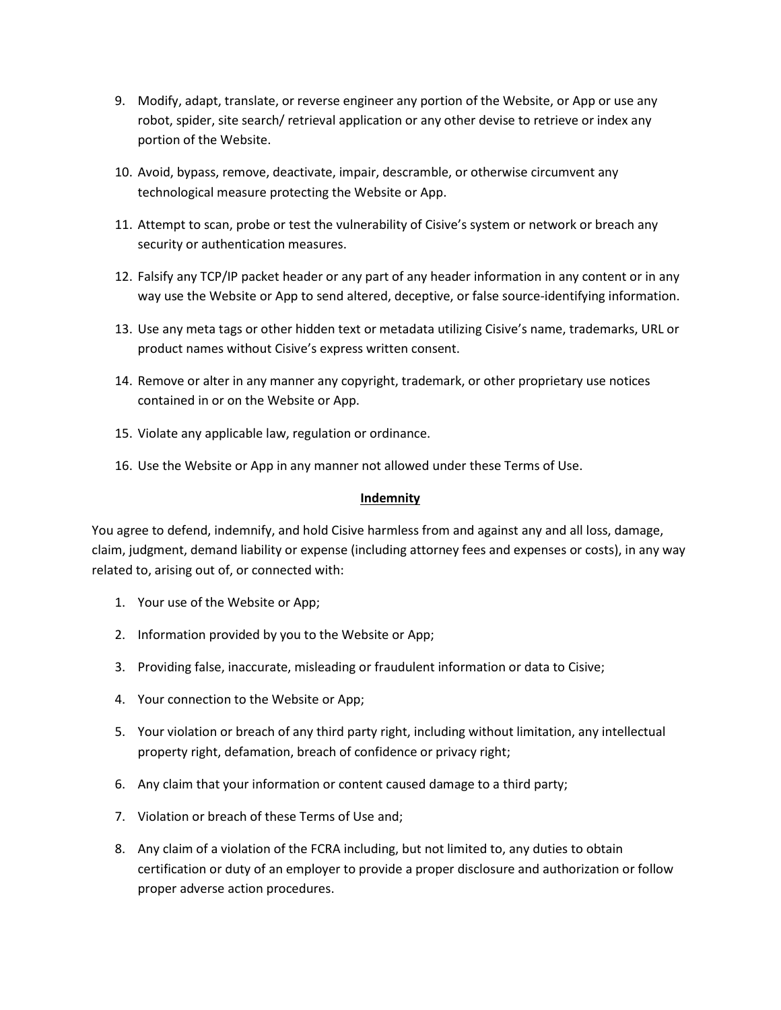- 9. Modify, adapt, translate, or reverse engineer any portion of the Website, or App or use any robot, spider, site search/ retrieval application or any other devise to retrieve or index any portion of the Website.
- 10. Avoid, bypass, remove, deactivate, impair, descramble, or otherwise circumvent any technological measure protecting the Website or App.
- 11. Attempt to scan, probe or test the vulnerability of Cisive's system or network or breach any security or authentication measures.
- 12. Falsify any TCP/IP packet header or any part of any header information in any content or in any way use the Website or App to send altered, deceptive, or false source-identifying information.
- 13. Use any meta tags or other hidden text or metadata utilizing Cisive's name, trademarks, URL or product names without Cisive's express written consent.
- 14. Remove or alter in any manner any copyright, trademark, or other proprietary use notices contained in or on the Website or App.
- 15. Violate any applicable law, regulation or ordinance.
- 16. Use the Website or App in any manner not allowed under these Terms of Use.

### **Indemnity**

You agree to defend, indemnify, and hold Cisive harmless from and against any and all loss, damage, claim, judgment, demand liability or expense (including attorney fees and expenses or costs), in any way related to, arising out of, or connected with:

- 1. Your use of the Website or App;
- 2. Information provided by you to the Website or App;
- 3. Providing false, inaccurate, misleading or fraudulent information or data to Cisive;
- 4. Your connection to the Website or App;
- 5. Your violation or breach of any third party right, including without limitation, any intellectual property right, defamation, breach of confidence or privacy right;
- 6. Any claim that your information or content caused damage to a third party;
- 7. Violation or breach of these Terms of Use and;
- 8. Any claim of a violation of the FCRA including, but not limited to, any duties to obtain certification or duty of an employer to provide a proper disclosure and authorization or follow proper adverse action procedures.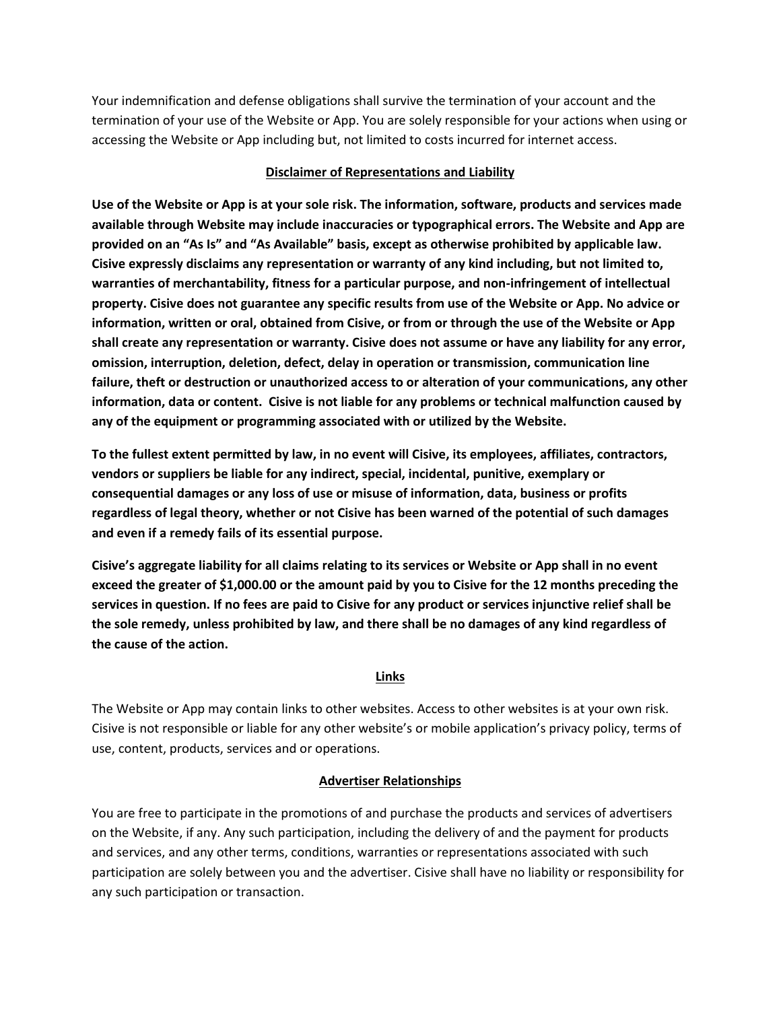Your indemnification and defense obligations shall survive the termination of your account and the termination of your use of the Website or App. You are solely responsible for your actions when using or accessing the Website or App including but, not limited to costs incurred for internet access.

## **Disclaimer of Representations and Liability**

**Use of the Website or App is at your sole risk. The information, software, products and services made available through Website may include inaccuracies or typographical errors. The Website and App are provided on an "As Is" and "As Available" basis, except as otherwise prohibited by applicable law. Cisive expressly disclaims any representation or warranty of any kind including, but not limited to, warranties of merchantability, fitness for a particular purpose, and non-infringement of intellectual property. Cisive does not guarantee any specific results from use of the Website or App. No advice or information, written or oral, obtained from Cisive, or from or through the use of the Website or App shall create any representation or warranty. Cisive does not assume or have any liability for any error, omission, interruption, deletion, defect, delay in operation or transmission, communication line failure, theft or destruction or unauthorized access to or alteration of your communications, any other information, data or content. Cisive is not liable for any problems or technical malfunction caused by any of the equipment or programming associated with or utilized by the Website.** 

**To the fullest extent permitted by law, in no event will Cisive, its employees, affiliates, contractors, vendors or suppliers be liable for any indirect, special, incidental, punitive, exemplary or consequential damages or any loss of use or misuse of information, data, business or profits regardless of legal theory, whether or not Cisive has been warned of the potential of such damages and even if a remedy fails of its essential purpose.** 

**Cisive's aggregate liability for all claims relating to its services or Website or App shall in no event exceed the greater of \$1,000.00 or the amount paid by you to Cisive for the 12 months preceding the services in question. If no fees are paid to Cisive for any product or services injunctive relief shall be the sole remedy, unless prohibited by law, and there shall be no damages of any kind regardless of the cause of the action.** 

# **Links**

The Website or App may contain links to other websites. Access to other websites is at your own risk. Cisive is not responsible or liable for any other website's or mobile application's privacy policy, terms of use, content, products, services and or operations.

# **Advertiser Relationships**

You are free to participate in the promotions of and purchase the products and services of advertisers on the Website, if any. Any such participation, including the delivery of and the payment for products and services, and any other terms, conditions, warranties or representations associated with such participation are solely between you and the advertiser. Cisive shall have no liability or responsibility for any such participation or transaction.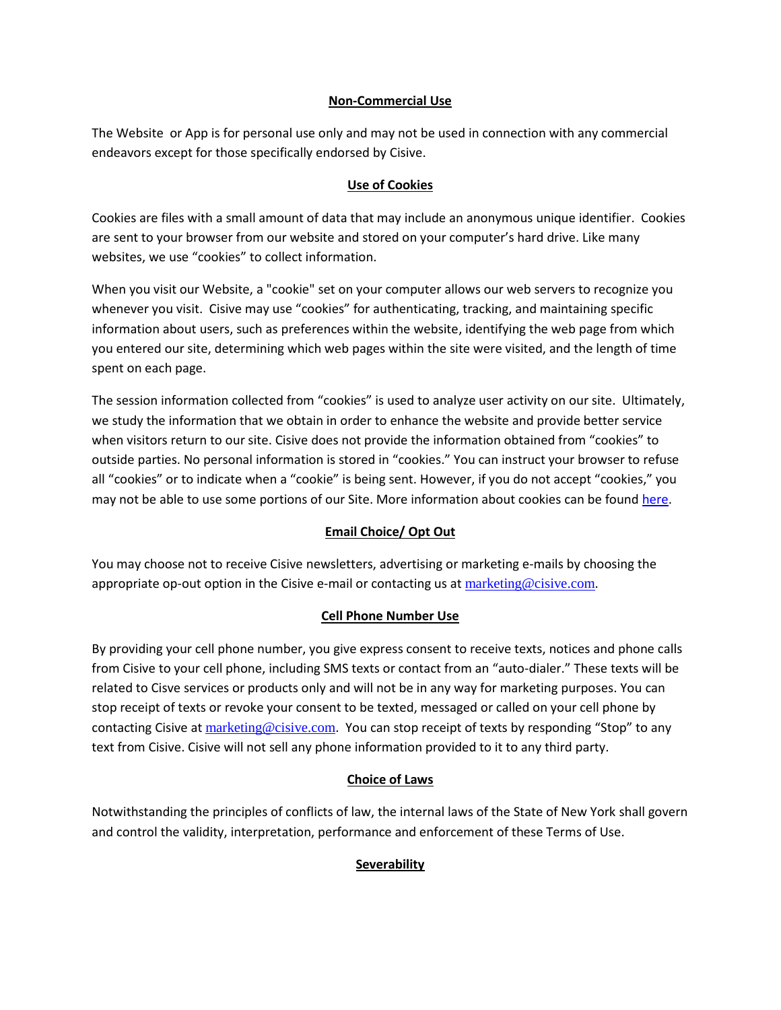## **Non-Commercial Use**

The Website or App is for personal use only and may not be used in connection with any commercial endeavors except for those specifically endorsed by Cisive.

## **Use of Cookies**

Cookies are files with a small amount of data that may include an anonymous unique identifier. Cookies are sent to your browser from our website and stored on your computer's hard drive. Like many websites, we use "cookies" to collect information.

When you visit our Website, a "cookie" set on your computer allows our web servers to recognize you whenever you visit. Cisive may use "cookies" for authenticating, tracking, and maintaining specific information about users, such as preferences within the website, identifying the web page from which you entered our site, determining which web pages within the site were visited, and the length of time spent on each page.

The session information collected from "cookies" is used to analyze user activity on our site. Ultimately, we study the information that we obtain in order to enhance the website and provide better service when visitors return to our site. Cisive does not provide the information obtained from "cookies" to outside parties. No personal information is stored in "cookies." You can instruct your browser to refuse all "cookies" or to indicate when a "cookie" is being sent. However, if you do not accept "cookies," you may not be able to use some portions of our Site. More information about cookies can be found [here.](https://www.cisive.com/sites/cisive.com/files/ACCESS19-PRIVACY-NOTICE-061120.pdf)

# **Email Choice/ Opt Out**

You may choose not to receive Cisive newsletters, advertising or marketing e-mails by choosing the appropriate op-out option in the Cisive e-mail or contacting us at [marketing@cisive.com](mailto:marketing@cisive.com).

# **Cell Phone Number Use**

By providing your cell phone number, you give express consent to receive texts, notices and phone calls from Cisive to your cell phone, including SMS texts or contact from an "auto-dialer." These texts will be related to Cisve services or products only and will not be in any way for marketing purposes. You can stop receipt of texts or revoke your consent to be texted, messaged or called on your cell phone by contacting Cisive at [marketing@cisive.com](mailto:marketing@cisive.com). You can stop receipt of texts by responding "Stop" to any text from Cisive. Cisive will not sell any phone information provided to it to any third party.

# **Choice of Laws**

Notwithstanding the principles of conflicts of law, the internal laws of the State of New York shall govern and control the validity, interpretation, performance and enforcement of these Terms of Use.

# **Severability**